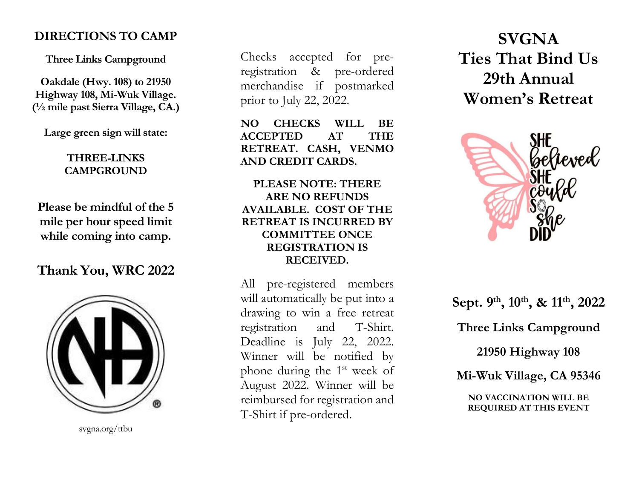# DIRECTIONS TO CAMP

Three Links Campground

Oakdale (Hwy. 108) to 21950 Highway 108, Mi-Wuk Village. (½ mile past Sierra Village, CA.)

Large green sign will state:

THREE-LINKS CAMPGROUND

Please be mindful of the 5 mile per hour speed limit while coming into camp.

# Thank You, WRC 2022



svgna.org/ttbu

Checks accepted for preregistration & pre-ordered merchandise if postmarked prior to July 22, 2022.

NO CHECKS WILL BE ACCEPTED AT THE RETREAT. CASH, VENMO AND CREDIT CARDS.

PLEASE NOTE: THERE ARE NO REFUNDS AVAILABLE. COST OF THE RETREAT IS INCURRED BY COMMITTEE ONCE REGISTRATION IS RECEIVED.

All pre-registered members will automatically be put into a drawing to win a free retreat registration and T-Shirt. Deadline is July 22, 2022. Winner will be notified by phone during the 1<sup>st</sup> week of August 2022. Winner will be reimbursed for registration and T-Shirt if pre-ordered.

SVGNA Ties That Bind Us 29th Annual Women's Retreat



Sept. 9<sup>th</sup>, 10<sup>th</sup>, & 11<sup>th</sup>, 2022 Three Links Campground 21950 Highway 108 Mi-Wuk Village, CA 95346 NO VACCINATION WILL BE REQUIRED AT THIS EVENT